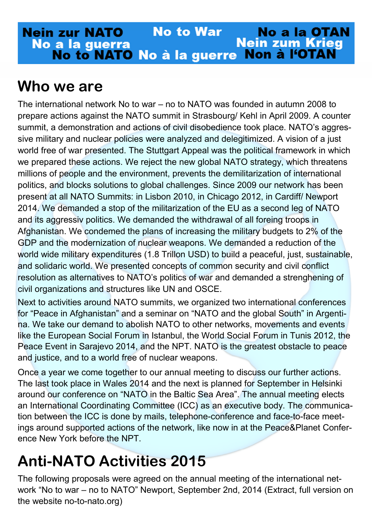#### **No to War Nein zur NATO No a la OTAN Nein zum Krieg** No a la guerra **Non à l'OTAN** No to NATO No à la guerre

### **Who we are**

The international network No to war – no to NATO was founded in autumn 2008 to prepare actions against the NATO summit in Strasbourg/ Kehl in April 2009. A counter summit, a demonstration and actions of civil disobedience took place. NATO's aggressive military and nuclear policies were analyzed and delegitimized. A vision of a just world free of war presented. The Stuttgart Appeal was the political framework in which we prepared these actions. We reject the new global NATO strategy, which threatens millions of people and the environment, prevents the demilitarization of international politics, and blocks solutions to global challenges. Since 2009 our network has been present at all NATO Summits: in Lisbon 2010, in Chicago 2012, in Cardiff/ Newport 2014. We demanded a stop of the militarization of the EU as a second leg of NATO and its aggressiv politics. We demanded the withdrawal of all foreing troops in Afghanistan. We condemed the plans of increasing the military budgets to 2% of the GDP and the modernization of nuclear weapons. We demanded a reduction of the world wide military expenditures (1.8 Trillon USD) to build a peaceful, just, sustainable, and solidaric world. We presented concepts of common security and civil conflict resolution as alternatives to NATO's politics of war and demanded a strenghening of civil organizations and structures like UN and OSCE.

Next to activities around NATO summits, we organized two international conferences for "Peace in Afghanistan" and a seminar on "NATO and the global South" in Argentina. We take our demand to abolish NATO to other networks, movements and events like the European Social Forum in Istanbul, the World Social Forum in Tunis 2012, the Peace Event in Sarajevo 2014, and the NPT. NATO is the greatest obstacle to peace and justice, and to a world free of nuclear weapons.

Once a year we come together to our annual meeting to discuss our further actions. The last took place in Wales 2014 and the next is planned for September in Helsinki around our conference on "NATO in the Baltic Sea Area". The annual meeting elects an International Coordinating Committee (ICC) as an executive body. The communication between the ICC is done by mails, telephone-conference and face-to-face meetings around supported actions of the network, like now in at the Peace&Planet Conference New York before the NPT.

# **Anti-NATO Activities 2015**

The following proposals were agreed on the annual meeting of the international network "No to war – no to NATO" Newport, September 2nd, 2014 (Extract, full version on the website no-to-nato.org)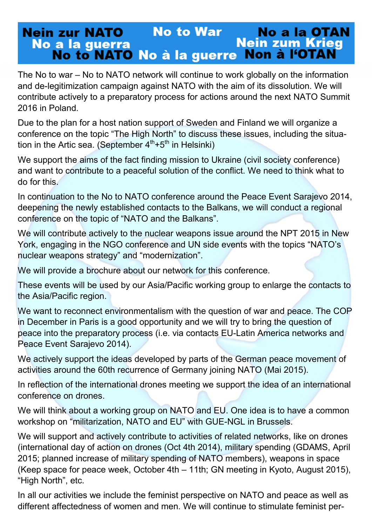#### **No to War Nein zur NATO No a la OTAN Nein zum Krieg** No a la guerra No to NATO No à la guerre Non à l'OTAN

The No to war – No to NATO network will continue to work globally on the information and de-legitimization campaign against NATO with the aim of its dissolution. We will contribute actively to a preparatory process for actions around the next NATO Summit 2016 in Poland.

Due to the plan for a host nation support of Sweden and Finland we will organize a conference on the topic "The High North" to discuss these issues, including the situation in the Artic sea. (September  $4<sup>th</sup>+5<sup>th</sup>$  in Helsinki)

We support the aims of the fact finding mission to Ukraine (civil society conference) and want to contribute to a peaceful solution of the conflict. We need to think what to do for this.

In continuation to the No to NATO conference around the Peace Event Sarajevo 2014, deepening the newly established contacts to the Balkans, we will conduct a regional conference on the topic of "NATO and the Balkans".

We will contribute actively to the nuclear weapons issue around the NPT 2015 in New York, engaging in the NGO conference and UN side events with the topics "NATO's nuclear weapons strategy" and "modernization".

We will provide a brochure about our network for this conference.

These events will be used by our Asia/Pacific working group to enlarge the contacts to the Asia/Pacific region.

We want to reconnect environmentalism with the question of war and peace. The COP in December in Paris is a good opportunity and we will try to bring the question of peace into the preparatory process (i.e. via contacts EU-Latin America networks and Peace Event Sarajevo 2014).

We actively support the ideas developed by parts of the German peace movement of activities around the 60th recurrence of Germany joining NATO (Mai 2015).

In reflection of the international drones meeting we support the idea of an international conference on drones.

We will think about a working group on NATO and EU. One idea is to have a common workshop on "militarization, NATO and EU" with GUE-NGL in Brussels.

We will support and actively contribute to activities of related networks, like on drones (international day of action on drones (Oct 4th 2014), military spending (GDAMS, April 2015; planned increase of military spending of NATO members), weapons in space (Keep space for peace week, October 4th – 11th; GN meeting in Kyoto, August 2015), "High North", etc.

In all our activities we include the feminist perspective on NATO and peace as well as different affectedness of women and men. We will continue to stimulate feminist per-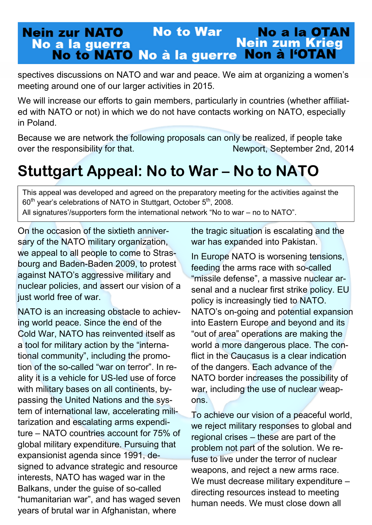#### **No to War Nein zur NATO No a la OTAN Nein zum Krieg** No a la guerra No to NATO No à la guerre Non à l'OTAN

spectives discussions on NATO and war and peace. We aim at organizing a women's meeting around one of our larger activities in 2015.

We will increase our efforts to gain members, particularly in countries (whether affiliated with NATO or not) in which we do not have contacts working on NATO, especially in Poland.

Because we are network the following proposals can only be realized, if people take over the responsibility for that. Newport, September 2nd, 2014

## **Stuttgart Appeal: No to War – No to NATO**

This appeal was developed and agreed on the preparatory meeting for the activities against the 60<sup>th</sup> year's celebrations of NATO in Stuttgart, October 5<sup>th</sup>, 2008.

All signatures'/supporters form the international network "No to war – no to NATO".

On the occasion of the sixtieth anniversary of the NATO military organization, we appeal to all people to come to Strasbourg and Baden-Baden 2009, to protest against NATO's aggressive military and nuclear policies, and assert our vision of a just world free of war.

NATO is an increasing obstacle to achieving world peace. Since the end of the Cold War, NATO has reinvented itself as a tool for military action by the "international community", including the promotion of the so-called "war on terror". In reality it is a vehicle for US-led use of force with military bases on all continents, bypassing the United Nations and the system of international law, accelerating militarization and escalating arms expenditure – NATO countries account for 75% of global military expenditure. Pursuing that expansionist agenda since 1991, designed to advance strategic and resource interests, NATO has waged war in the Balkans, under the guise of so-called "humanitarian war", and has waged seven years of brutal war in Afghanistan, where

the tragic situation is escalating and the war has expanded into Pakistan.

In Europe NATO is worsening tensions, feeding the arms race with so-called "missile defense", a massive nuclear arsenal and a nuclear first strike policy. EU policy is increasingly tied to NATO. NATO's on-going and potential expansion into Eastern Europe and beyond and its "out of area" operations are making the world a more dangerous place. The conflict in the Caucasus is a clear indication of the dangers. Each advance of the NATO border increases the possibility of war, including the use of nuclear weapons.

To achieve our vision of a peaceful world, we reject military responses to global and regional crises – these are part of the problem not part of the solution. We refuse to live under the terror of nuclear weapons, and reject a new arms race. We must decrease military expenditure directing resources instead to meeting human needs. We must close down all